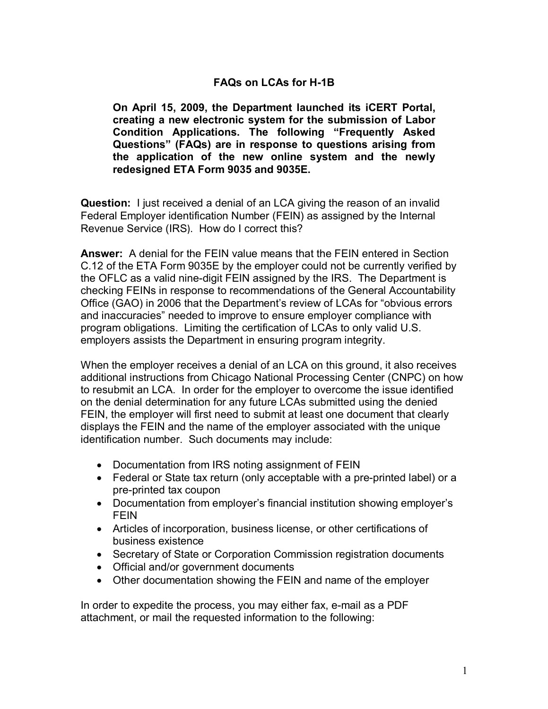## **FAQs on LCAs for H-1B**

**On April 15, 2009, the Department launched its iCERT Portal, creating a new electronic system for the submission of Labor Condition Applications. The following "Frequently Asked Questions" (FAQs) are in response to questions arising from the application of the new online system and the newly redesigned ETA Form 9035 and 9035E.** 

**Question:** I just received a denial of an LCA giving the reason of an invalid Federal Employer identification Number (FEIN) as assigned by the Internal Revenue Service (IRS). How do I correct this?

**Answer:** A denial for the FEIN value means that the FEIN entered in Section C.12 of the ETA Form 9035E by the employer could not be currently verified by the OFLC as a valid nine-digit FEIN assigned by the IRS. The Department is checking FEINs in response to recommendations of the General Accountability Office (GAO) in 2006 that the Department's review of LCAs for "obvious errors and inaccuracies" needed to improve to ensure employer compliance with program obligations. Limiting the certification of LCAs to only valid U.S. employers assists the Department in ensuring program integrity.

When the employer receives a denial of an LCA on this ground, it also receives additional instructions from Chicago National Processing Center (CNPC) on how to resubmit an LCA. In order for the employer to overcome the issue identified on the denial determination for any future LCAs submitted using the denied FEIN, the employer will first need to submit at least one document that clearly displays the FEIN and the name of the employer associated with the unique identification number. Such documents may include:

- · Documentation from IRS noting assignment of FEIN
- $\bullet$  Federal or State tax return (only acceptable with a pre-printed label) or a pre-printed tax coupon
- · Documentation from employer's financial institution showing employer's FEIN
- · Articles of incorporation, business license, or other certifications of business existence
- · Secretary of State or Corporation Commission registration documents
- · Official and/or government documents
- Other documentation showing the FEIN and name of the employer

In order to expedite the process, you may either fax, e-mail as a PDF attachment, or mail the requested information to the following: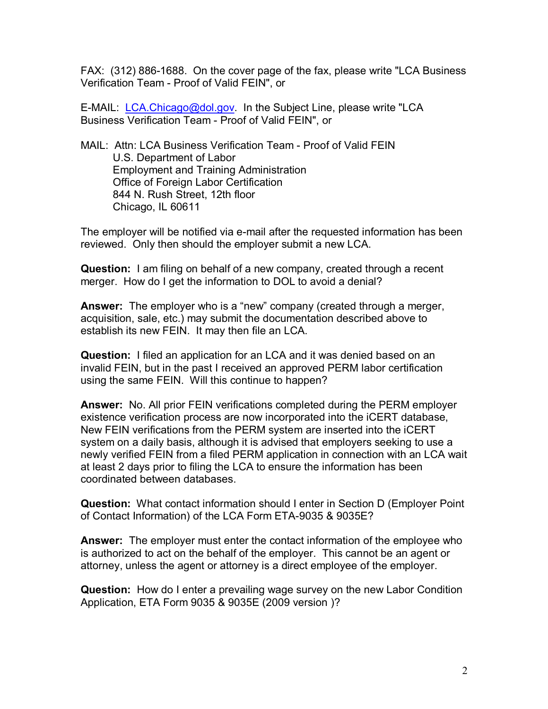FAX: (312) 886-1688. On the cover page of the fax, please write "LCA Business" Verification Team - Proof of Valid FEIN", or

E-MAIL: *[LCA.Chicago@dol.gov.](mailto:LCA.Chicago@dol.gov)* In the Subject Line, please write "LCA Business Verification Team - Proof of Valid FEIN", or

MAIL: Attn: LCA Business Verification Team - Proof of Valid FEIN U.S. Department of Labor Employment and Training Administration Office of Foreign Labor Certification 844 N. Rush Street, 12th floor Chicago, IL 60611

The employer will be notified via e-mail after the requested information has been reviewed. Only then should the employer submit a new LCA.

**Question:** I am filing on behalf of a new company, created through a recent merger. How do I get the information to DOL to avoid a denial?

**Answer:** The employer who is a "new" company (created through a merger, acquisition, sale, etc.) may submit the documentation described above to establish its new FEIN. It may then file an LCA.

**Question:** I filed an application for an LCA and it was denied based on an invalid FEIN, but in the past I received an approved PERM labor certification using the same FEIN. Will this continue to happen?

**Answer:** No. All prior FEIN verifications completed during the PERM employer existence verification process are now incorporated into the iCERT database, New FEIN verifications from the PERM system are inserted into the iCERT system on a daily basis, although it is advised that employers seeking to use a newly verified FEIN from a filed PERM application in connection with an LCA wait at least 2 days prior to filing the LCA to ensure the information has been coordinated between databases.

**Question:** What contact information should I enter in Section D (Employer Point of Contact Information) of the LCA Form ETA9035 & 9035E?

**Answer:** The employer must enter the contact information of the employee who is authorized to act on the behalf of the employer. This cannot be an agent or attorney, unless the agent or attorney is a direct employee of the employer.

**Question:** How do I enter a prevailing wage survey on the new Labor Condition Application, ETA Form 9035 & 9035E (2009 version )?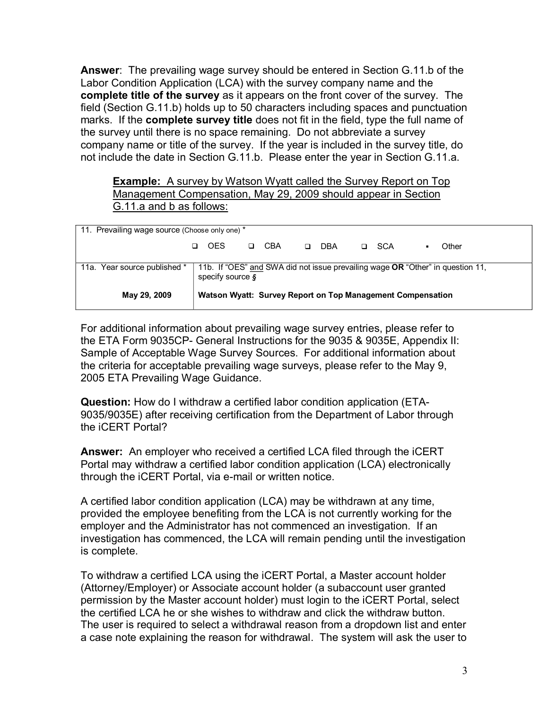**Answer**: The prevailing wage survey should be entered in Section G.11.b of the Labor Condition Application (LCA) with the survey company name and the **complete title of the survey** as it appears on the front cover of the survey. The field (Section G.11.b) holds up to 50 characters including spaces and punctuation marks. If the **complete survey title** does not fit in the field, type the full name of the survey until there is no space remaining. Do not abbreviate a survey company name or title of the survey. If the year is included in the survey title, do not include the date in Section G.11.b. Please enter the year in Section G.11.a.

**Example:** A survey by Watson Wyatt called the Survey Report on Top Management Compensation, May 29, 2009 should appear in Section G.11.a and b as follows:

| 11. Prevailing wage source (Choose only one) * |                                                            |                                                                                                                     |  |     |    |            |        |       |  |       |  |
|------------------------------------------------|------------------------------------------------------------|---------------------------------------------------------------------------------------------------------------------|--|-----|----|------------|--------|-------|--|-------|--|
|                                                | □.                                                         | <b>OES</b>                                                                                                          |  | CBA | O. | <b>DBA</b> | $\Box$ | - SCA |  | Other |  |
| 11a. Year source published *                   |                                                            | 11b. If "OES" and SWA did not issue prevailing wage OR "Other" in question 11,<br>specify source $\boldsymbol{\xi}$ |  |     |    |            |        |       |  |       |  |
| May 29, 2009                                   | Watson Wyatt: Survey Report on Top Management Compensation |                                                                                                                     |  |     |    |            |        |       |  |       |  |

For additional information about prevailing wage survey entries, please refer to the ETA Form 9035CP- General Instructions for the 9035 & 9035E, Appendix II: Sample of Acceptable Wage Survey Sources. For additional information about the criteria for acceptable prevailing wage surveys, please refer to the May 9, 2005 ETA Prevailing Wage Guidance.

**Question:** How do I withdraw a certified labor condition application (ETA 9035/9035E) after receiving certification from the Department of Labor through the iCERT Portal?

**Answer:** An employer who received a certified LCA filed through the iCERT Portal may withdraw a certified labor condition application (LCA) electronically through the iCERT Portal, via e-mail or written notice.

A certified labor condition application (LCA) may be withdrawn at any time, provided the employee benefiting from the LCA is not currently working for the employer and the Administrator has not commenced an investigation. If an investigation has commenced, the LCA will remain pending until the investigation is complete.

To withdraw a certified LCA using the iCERT Portal, a Master account holder (Attorney/Employer) or Associate account holder (a subaccount user granted permission by the Master account holder) must login to the iCERT Portal, select the certified LCA he or she wishes to withdraw and click the withdraw button. The user is required to select a withdrawal reason from a dropdown list and enter a case note explaining the reason for withdrawal. The system will ask the user to